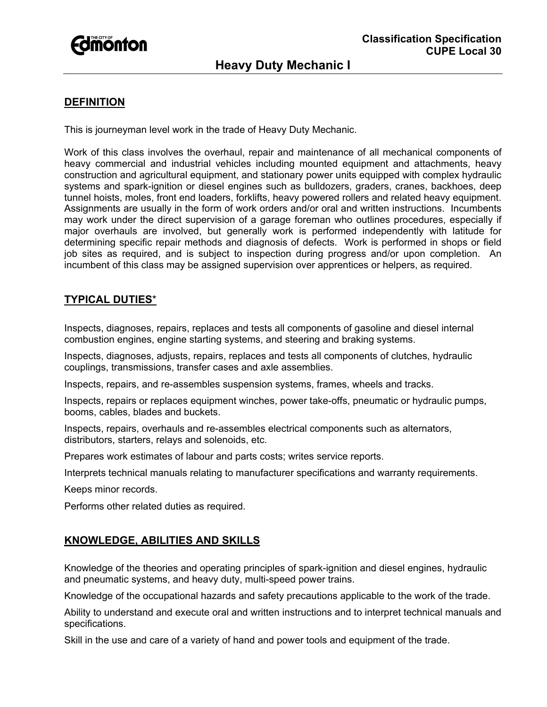

## **DEFINITION**

This is journeyman level work in the trade of Heavy Duty Mechanic.

Work of this class involves the overhaul, repair and maintenance of all mechanical components of heavy commercial and industrial vehicles including mounted equipment and attachments, heavy construction and agricultural equipment, and stationary power units equipped with complex hydraulic systems and spark-ignition or diesel engines such as bulldozers, graders, cranes, backhoes, deep tunnel hoists, moles, front end loaders, forklifts, heavy powered rollers and related heavy equipment. Assignments are usually in the form of work orders and/or oral and written instructions. Incumbents may work under the direct supervision of a garage foreman who outlines procedures, especially if major overhauls are involved, but generally work is performed independently with latitude for determining specific repair methods and diagnosis of defects. Work is performed in shops or field job sites as required, and is subject to inspection during progress and/or upon completion. An incumbent of this class may be assigned supervision over apprentices or helpers, as required.

# **TYPICAL DUTIES**\*

Inspects, diagnoses, repairs, replaces and tests all components of gasoline and diesel internal combustion engines, engine starting systems, and steering and braking systems.

Inspects, diagnoses, adjusts, repairs, replaces and tests all components of clutches, hydraulic couplings, transmissions, transfer cases and axle assemblies.

Inspects, repairs, and re-assembles suspension systems, frames, wheels and tracks.

Inspects, repairs or replaces equipment winches, power take-offs, pneumatic or hydraulic pumps, booms, cables, blades and buckets.

Inspects, repairs, overhauls and re-assembles electrical components such as alternators, distributors, starters, relays and solenoids, etc.

Prepares work estimates of labour and parts costs; writes service reports.

Interprets technical manuals relating to manufacturer specifications and warranty requirements.

Keeps minor records.

Performs other related duties as required.

# **KNOWLEDGE, ABILITIES AND SKILLS**

Knowledge of the theories and operating principles of spark-ignition and diesel engines, hydraulic and pneumatic systems, and heavy duty, multi-speed power trains.

Knowledge of the occupational hazards and safety precautions applicable to the work of the trade.

Ability to understand and execute oral and written instructions and to interpret technical manuals and specifications.

Skill in the use and care of a variety of hand and power tools and equipment of the trade.